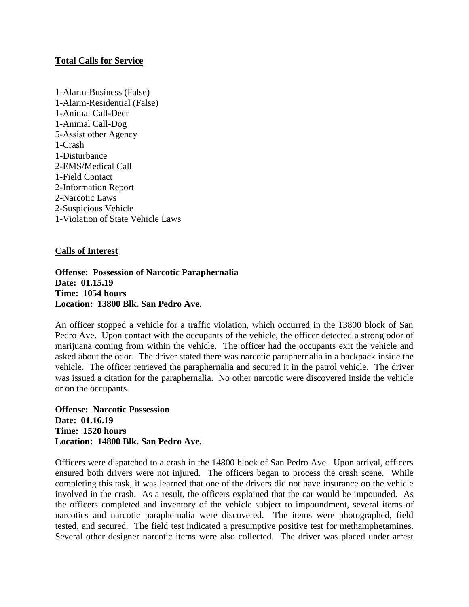## **Total Calls for Service**

1-Alarm-Business (False) 1-Alarm-Residential (False) 1-Animal Call-Deer 1-Animal Call-Dog 5-Assist other Agency 1-Crash 1-Disturbance 2-EMS/Medical Call 1-Field Contact 2-Information Report 2-Narcotic Laws 2-Suspicious Vehicle 1-Violation of State Vehicle Laws

## **Calls of Interest**

**Offense: Possession of Narcotic Paraphernalia Date: 01.15.19 Time: 1054 hours Location: 13800 Blk. San Pedro Ave.**

An officer stopped a vehicle for a traffic violation, which occurred in the 13800 block of San Pedro Ave. Upon contact with the occupants of the vehicle, the officer detected a strong odor of marijuana coming from within the vehicle. The officer had the occupants exit the vehicle and asked about the odor. The driver stated there was narcotic paraphernalia in a backpack inside the vehicle. The officer retrieved the paraphernalia and secured it in the patrol vehicle. The driver was issued a citation for the paraphernalia. No other narcotic were discovered inside the vehicle or on the occupants.

**Offense: Narcotic Possession Date: 01.16.19 Time: 1520 hours Location: 14800 Blk. San Pedro Ave.**

Officers were dispatched to a crash in the 14800 block of San Pedro Ave. Upon arrival, officers ensured both drivers were not injured. The officers began to process the crash scene. While completing this task, it was learned that one of the drivers did not have insurance on the vehicle involved in the crash. As a result, the officers explained that the car would be impounded. As the officers completed and inventory of the vehicle subject to impoundment, several items of narcotics and narcotic paraphernalia were discovered. The items were photographed, field tested, and secured. The field test indicated a presumptive positive test for methamphetamines. Several other designer narcotic items were also collected. The driver was placed under arrest